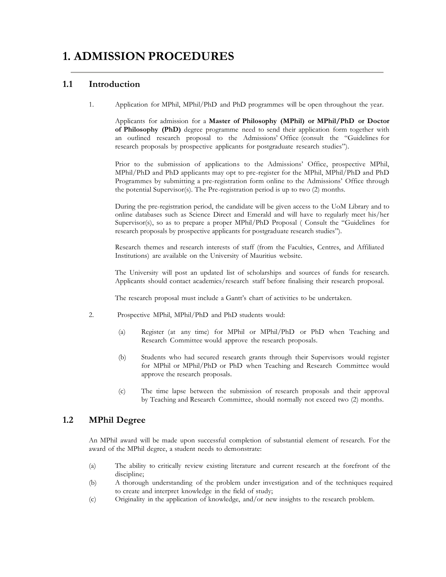# **1. ADMISSION PROCEDURES**

# **1.1 Introduction**

1. Application for MPhil, MPhil/PhD and PhD programmes will be open throughout the year.

Applicants for admission for a **Master of Philosophy (MPhil) or MPhil/PhD or Doctor of Philosophy (PhD)** degree programme need to send their application form together with an outlined research proposal to the Admissions' Office (consult the "Guidelines for research proposals by prospective applicants for postgraduate research studies").

Prior to the submission of applications to the Admissions' Office, prospective MPhil, MPhil/PhD and PhD applicants may opt to pre-register for the MPhil, MPhil/PhD and PhD Programmes by submitting a pre-registration form online to the Admissions' Office through the potential Supervisor(s). The Pre-registration period is up to two (2) months.

During the pre-registration period, the candidate will be given access to the UoM Library and to online databases such as Science Direct and Emerald and will have to regularly meet his/her Supervisor(s), so as to prepare a proper MPhil/PhD Proposal ( Consult the "Guidelines for research proposals by prospective applicants for postgraduate research studies").

Research themes and research interests of staff (from the Faculties, Centres, and Affiliated Institutions) are available on the University of Mauritius website.

The University will post an updated list of scholarships and sources of funds for research. Applicants should contact academics/research staff before finalising their research proposal.

The research proposal must include a Gantt's chart of activities to be undertaken.

- 2. Prospective MPhil, MPhil/PhD and PhD students would:
	- (a) Register (at any time) for MPhil or MPhil/PhD or PhD when Teaching and Research Committee would approve the research proposals.
	- (b) Students who had secured research grants through their Supervisors would register for MPhil or MPhil/PhD or PhD when Teaching and Research Committee would approve the research proposals.
	- (c) The time lapse between the submission of research proposals and their approval by Teaching and Research Committee, should normally not exceed two (2) months.

# **1.2 MPhil Degree**

An MPhil award will be made upon successful completion of substantial element of research. For the award of the MPhil degree, a student needs to demonstrate:

- (a) The ability to critically review existing literature and current research at the forefront of the discipline:
- (b) A thorough understanding of the problem under investigation and of the techniques required to create and interpret knowledge in the field of study;
- (c) Originality in the application of knowledge, and/or new insights to the research problem.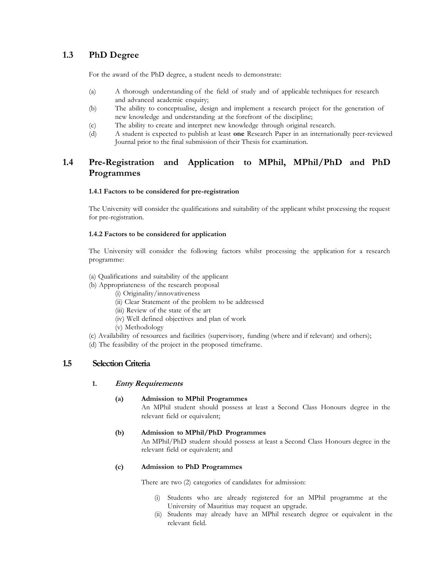# **1.3 PhD Degree**

For the award of the PhD degree, a student needs to demonstrate:

- (a) A thorough understanding of the field of study and of applicable techniques for research and advanced academic enquiry;
- (b) The ability to conceptualise, design and implement a research project for the generation of new knowledge and understanding at the forefront of the discipline;
- (c) The ability to create and interpret new knowledge through original research.
- (d) A student is expected to publish at least **one** Research Paper in an internationally peer-reviewed Journal prior to the final submission of their Thesis for examination.

# **1.4 Pre-Registration and Application to MPhil, MPhil/PhD and PhD Programmes**

#### **1.4.1 Factors to be considered for pre-registration**

The University will consider the qualifications and suitability of the applicant whilst processing the request for pre-registration.

#### **1.4.2 Factors to be considered for application**

The University will consider the following factors whilst processing the application for a research programme:

- (a) Qualifications and suitability of the applicant
- (b) Appropriateness of the research proposal
	- (i) Originality/innovativeness
	- (ii) Clear Statement of the problem to be addressed
	- (iii) Review of the state of the art
	- (iv) Well defined objectives and plan of work
	- (v) Methodology
- (c) Availability of resources and facilities (supervisory, funding (where and if relevant) and others);

(d) The feasibility of the project in the proposed timeframe.

### **1.5 SelectionCriteria**

#### **1. Entry Requirements**

#### **(a) Admission to MPhil Programmes**

An MPhil student should possess at least a Second Class Honours degree in the relevant field or equivalent;

#### **(b) Admission to MPhil/PhD Programmes**

An MPhil/PhD student should possess at least a Second Class Honours degree in the relevant field or equivalent; and

#### **(c) Admission to PhD Programmes**

There are two (2) categories of candidates for admission:

- Students who are already registered for an MPhil programme at the University of Mauritius may request an upgrade.
- (ii) Students may already have an MPhil research degree or equivalent in the relevant field.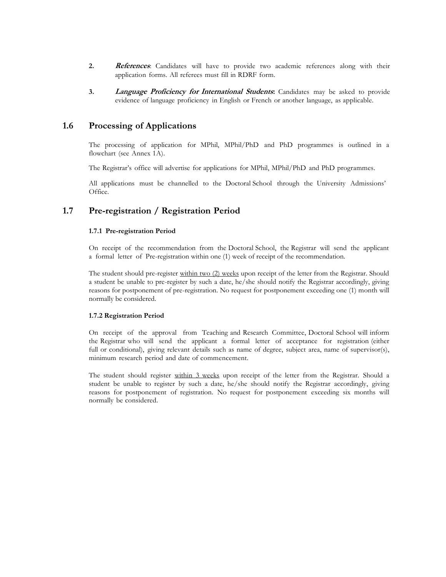- **2. References**: Candidates will have to provide two academic references along with their application forms. All referees must fill in RDRF form.
- **3. Language Proficiency for International Students:** Candidates may be asked to provide evidence of language proficiency in English or French or another language, as applicable.

## **1.6 Processing of Applications**

The processing of application for MPhil, MPhil/PhD and PhD programmes is outlined in a flowchart (see Annex 1A).

The Registrar's office will advertise for applications for MPhil, MPhil/PhD and PhD programmes.

All applications must be channelled to the Doctoral School through the University Admissions' Office.

# **1.7 Pre-registration / Registration Period**

#### **1.7.1 Pre-registration Period**

On receipt of the recommendation from the Doctoral School, the Registrar will send the applicant a formal letter of Pre-registration within one (1) week of receipt of the recommendation.

The student should pre-register within two (2) weeks upon receipt of the letter from the Registrar. Should a student be unable to pre-register by such a date, he/she should notify the Registrar accordingly, giving reasons for postponement of pre-registration. No request for postponement exceeding one (1) month will normally be considered.

#### **1.7.2 Registration Period**

On receipt of the approval from Teaching and Research Committee, Doctoral School will inform the Registrar who will send the applicant a formal letter of acceptance for registration (either full or conditional), giving relevant details such as name of degree, subject area, name of supervisor(s), minimum research period and date of commencement.

The student should register within 3 weeks upon receipt of the letter from the Registrar. Should a student be unable to register by such a date, he/she should notify the Registrar accordingly, giving reasons for postponement of registration. No request for postponement exceeding six months will normally be considered.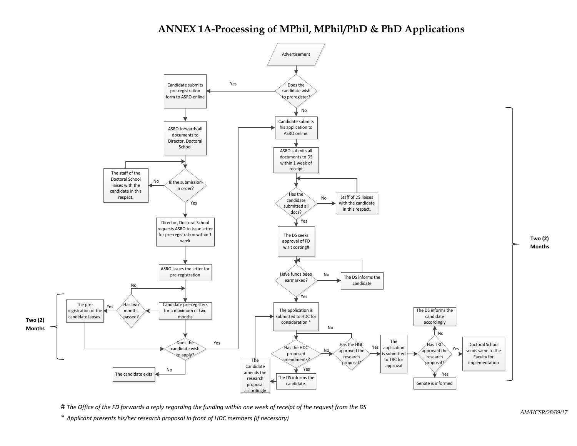# **ANNEX 1A-Processing of MPhil, MPhil/PhD & PhD Applications**



# *The Office of the FD forwards a reply regarding the funding within one week of receipt of the request from the DS*

\* *Applicant presents his/her research proposal in front of HDC members (if necessary)*

*AM/HCSR/28/09/17*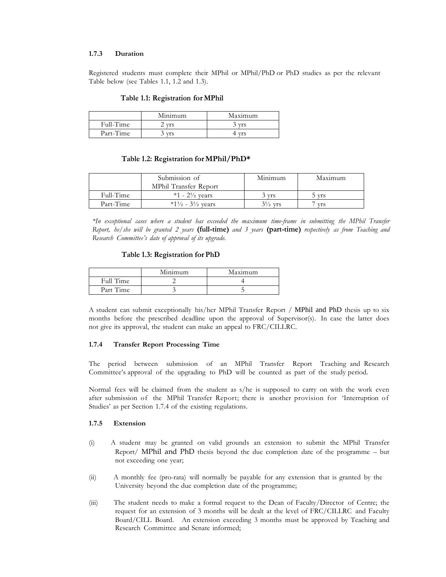#### **1.7.3 Duration**

Registered students must complete their MPhil or MPhil/PhD or PhD studies as per the relevant Table below (see Tables 1.1, 1.2 and 1.3).

#### **Table 1.1: Registration for MPhil**

|           | Minimum    | Maximum    |
|-----------|------------|------------|
| Full-Time | <b>Vrs</b> | <b>Vrs</b> |
| Part-Time | <b>vrs</b> | <b>Vrs</b> |

#### **Table 1.2: Registration forMPhil/PhD\***

|           | Submission of                                         | Minimum            | Maximum |
|-----------|-------------------------------------------------------|--------------------|---------|
|           | MPhil Transfer Report                                 |                    |         |
| Full-Time | $*1 - 2\frac{1}{2}$ vears                             | 3 yrs              | 5 yrs   |
| Part-Time | $*1\frac{1}{2}$ - 3 <sup>1</sup> / <sub>2</sub> years | $3\frac{1}{2}$ vrs | vrs     |

*\*In exceptional cases where a student has exceeded the maximum time-frame in submitting the MPhil Transfer Report, he/she will be granted 2 years* **(full-time)** *and 3 years* **(part-time)** *respectively as from Teaching and Research Committee's date of approval of its upgrade.*

#### **Table 1.3: Registration for PhD**

|           | Minimum | Maximum |
|-----------|---------|---------|
| Full Time |         |         |
| Part Time |         |         |

A student can submit exceptionally his/her MPhil Transfer Report / MPhil and PhD thesis up to six months before the prescribed deadline upon the approval of Supervisor(s). In case the latter does not give its approval, the student can make an appeal to FRC/CILLRC.

#### **1.7.4 Transfer Report Processing Time**

The period between submission of an MPhil Transfer Report Teaching and Research Committee's approval of the upgrading to PhD will be counted as part of the study period.

Normal fees will be claimed from the student as s/he is supposed to carry on with the work even after submission of the MPhil Transfer Report; there is another provision for 'Interruption of Studies' as per Section 1.7.4 of the existing regulations.

#### **1.7.5 Extension**

- (i) A student may be granted on valid grounds an extension to submit the MPhil Transfer Report/ MPhil and PhD thesis beyond the due completion date of the programme – but not exceeding one year;
- (ii) A monthly fee (pro-rata) will normally be payable for any extension that is granted by the University beyond the due completion date of the programme;
- (iii) The student needs to make a formal request to the Dean of Faculty/Director of Centre; the request for an extension of 3 months will be dealt at the level of FRC/CILLRC and Faculty Board/CILL Board. An extension exceeding 3 months must be approved by Teaching and Research Committee and Senate informed;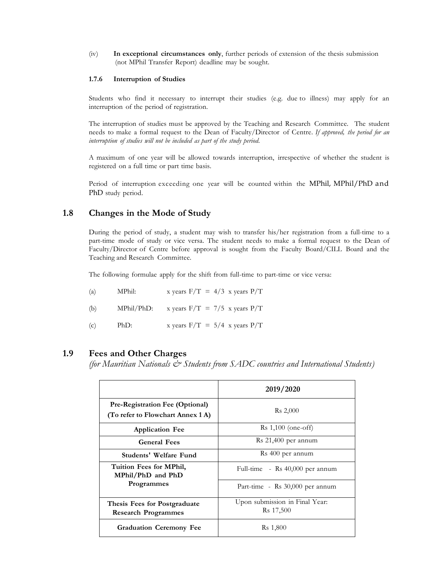(iv) **In exceptional circumstances only**, further periods of extension of the thesis submission (not MPhil Transfer Report) deadline may be sought.

#### **1.7.6 Interruption of Studies**

Students who find it necessary to interrupt their studies (e.g. due to illness) may apply for an interruption of the period of registration.

The interruption of studies must be approved by the Teaching and Research Committee. The student needs to make a formal request to the Dean of Faculty/Director of Centre. *If approved, the period for an interruption of studies will not be included as part of the study period.*

A maximum of one year will be allowed towards interruption, irrespective of whether the student is registered on a full time or part time basis.

Period of interruption exceeding one year will be counted within the MPhil, MPhil/PhD and PhD study period.

### **1.8 Changes in the Mode of Study**

During the period of study, a student may wish to transfer his/her registration from a full-time to a part-time mode of study or vice versa. The student needs to make a formal request to the Dean of Faculty/Director of Centre before approval is sought from the Faculty Board/CILL Board and the Teaching and Research Committee.

The following formulae apply for the shift from full-time to part-time or vice versa:

| MPhil:<br>(a) | x years $F/T = 4/3$ x years $P/T$ |  |  |
|---------------|-----------------------------------|--|--|
|---------------|-----------------------------------|--|--|

- (b) MPhil/PhD: x years  $F/T = 7/5$  x years  $P/T$
- (c) PhD: x years  $F/T = 5/4$  x years  $P/T$

## **1.9 Fees and Other Charges**

*(for Mauritian Nationals & Students from SADC countries and International Students)*

|                                                                             | 2019/2020                                               |  |
|-----------------------------------------------------------------------------|---------------------------------------------------------|--|
| <b>Pre-Registration Fee (Optional)</b><br>(To refer to Flowchart Annex 1 A) | $Rs\,2,000$                                             |  |
| <b>Application Fee</b>                                                      | $Rs 1,100 (one-off)$                                    |  |
| <b>General Fees</b>                                                         | $Rs 21,400$ per annum                                   |  |
| Students' Welfare Fund                                                      | Rs 400 per annum                                        |  |
| Tuition Fees for MPhil,<br>MPhil/PhD and PhD                                | Full-time - Rs $40,000$ per annum                       |  |
| Programmes                                                                  | Part-time - Rs 30,000 per annum                         |  |
| Thesis Fees for Postgraduate<br><b>Research Programmes</b>                  | Upon submission in Final Year:<br>R <sub>s</sub> 17,500 |  |
| <b>Graduation Ceremony Fee</b>                                              | R <sub>s</sub> 1,800                                    |  |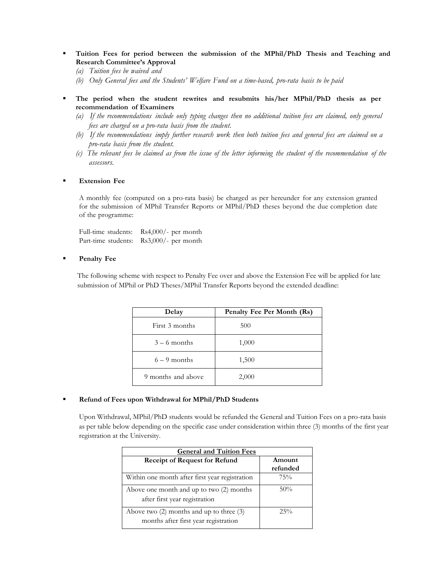- **Tuition Fees for period between the submission of the MPhil/PhD Thesis and Teaching and Research Committee's Approval**
	- *(a) Tuition fees be waived and*
	- *(b) Only General fees and the Students' Welfare Fund on a time-based, pro-rata basis to be paid*
- **The period when the student rewrites and resubmits his/her MPhil/PhD thesis as per recommendation of Examiners**
	- (a) If the recommendations include only typing changes then no additional tuition fees are claimed, only general *fees are charged on a pro-rata basis from the student.*
	- (b) If the recommendations imply further research work then both tuition fees and general fees are claimed on a *pro-rata basis from the student.*
	- (c) The relevant fees be claimed as from the issue of the letter informing the student of the recommendation of the *assessors.*

#### **Extension Fee**

A monthly fee (computed on a pro-rata basis) be charged as per hereunder for any extension granted for the submission of MPhil Transfer Reports or MPhil/PhD theses beyond the due completion date of the programme:

Full-time students: Rs4,000/- per month Part-time students: Rs3,000/- per month

#### **Penalty Fee**

The following scheme with respect to Penalty Fee over and above the Extension Fee will be applied for late submission of MPhil or PhD Theses/MPhil Transfer Reports beyond the extended deadline:

| Delay              | Penalty Fee Per Month (Rs) |
|--------------------|----------------------------|
| First 3 months     | 500                        |
| $3 - 6$ months     | 1,000                      |
| $6 - 9$ months     | 1,500                      |
| 9 months and above | 2,000                      |

#### **Refund of Fees upon Withdrawal for MPhil/PhD Students**

Upon Withdrawal, MPhil/PhD students would be refunded the General and Tuition Fees on a pro-rata basis as per table below depending on the specific case under consideration within three (3) months of the first year registration at the University.

| <b>General and Tuition Fees</b>                                                      |                    |  |
|--------------------------------------------------------------------------------------|--------------------|--|
| <b>Receipt of Request for Refund</b>                                                 | Amount<br>refunded |  |
| Within one month after first year registration                                       | 75%                |  |
| Above one month and up to two (2) months<br>after first year registration            | 50%                |  |
| Above two $(2)$ months and up to three $(3)$<br>months after first year registration | $25\%$             |  |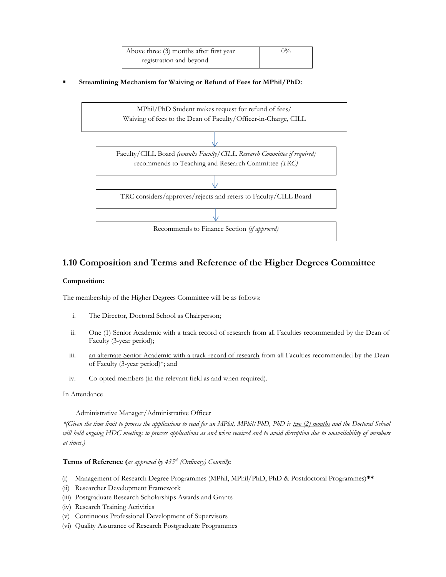| Above three (3) months after first year | $0\%$ |
|-----------------------------------------|-------|
| registration and beyond                 |       |

**Streamlining Mechanism for Waiving or Refund of Fees for MPhil/PhD:**



# **1.10 Composition and Terms and Reference of the Higher Degrees Committee**

#### **Composition:**

The membership of the Higher Degrees Committee will be as follows:

- i. The Director, Doctoral School as Chairperson;
- ii. One (1) Senior Academic with a track record of research from all Faculties recommended by the Dean of Faculty (3-year period);
- iii. an alternate Senior Academic with a track record of research from all Faculties recommended by the Dean of Faculty (3-year period)\*; and
- iv. Co-opted members (in the relevant field as and when required).

#### In Attendance

#### Administrative Manager/Administrative Officer

*\*(Given the time limit to process the applications to read for an MPhil, MPhil/PhD, PhD is two (2) months and the Doctoral School will hold ongoing HDC meetings to process applications as and when received and to avoid disruption due to unavailability of members at times.)*

#### **Terms of Reference (***as approved by 435th (Ordinary) Council***):**

- (i) Management of Research Degree Programmes (MPhil, MPhil/PhD, PhD & Postdoctoral Programmes)**\*\***
- (ii) Researcher Development Framework
- (iii) Postgraduate Research Scholarships Awards and Grants
- (iv) Research Training Activities
- (v) Continuous Professional Development of Supervisors
- (vi) Quality Assurance of Research Postgraduate Programmes